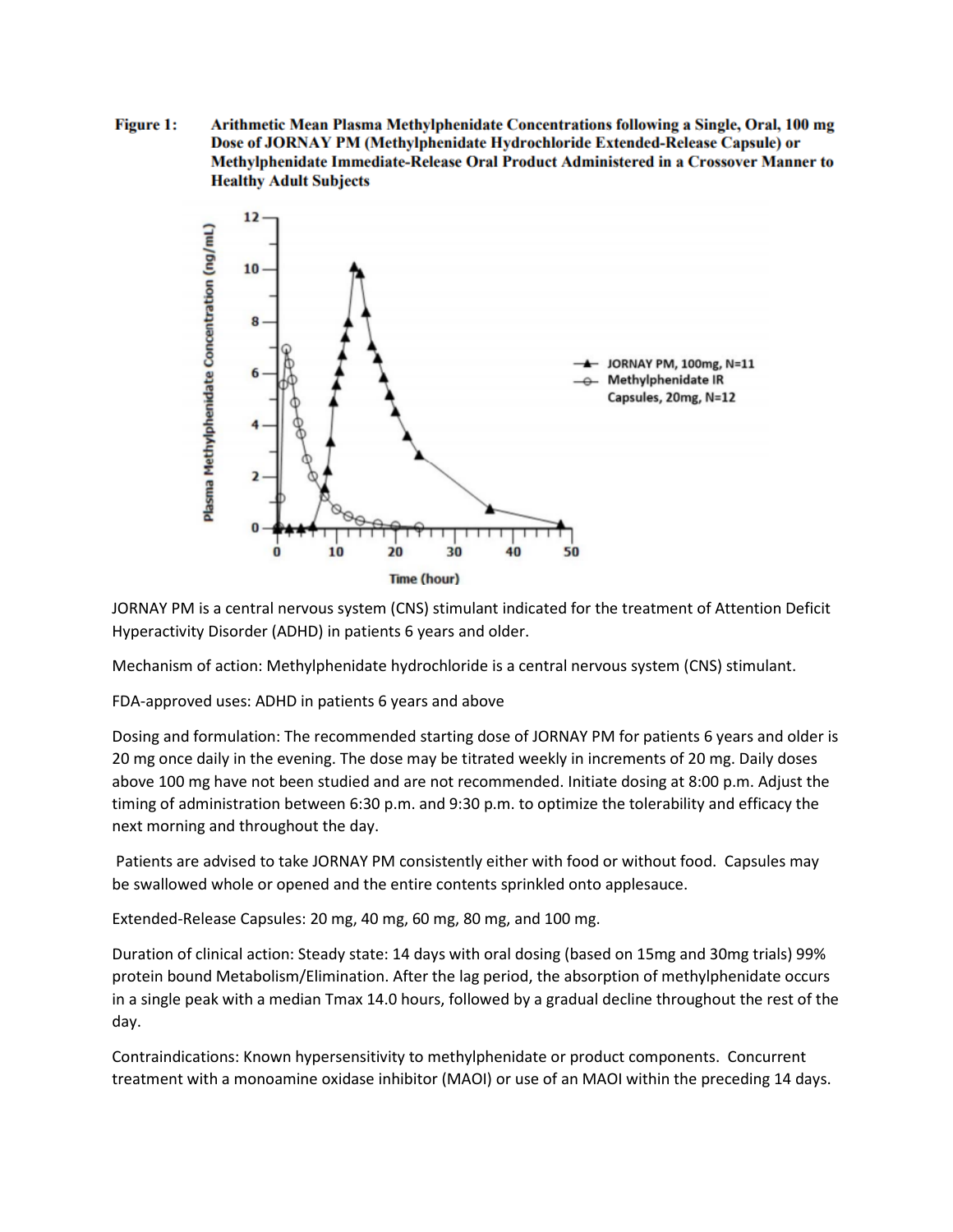**Figure 1:** Arithmetic Mean Plasma Methylphenidate Concentrations following a Single, Oral, 100 mg Dose of JORNAY PM (Methylphenidate Hydrochloride Extended-Release Capsule) or Methylphenidate Immediate-Release Oral Product Administered in a Crossover Manner to **Healthy Adult Subjects** 



JORNAY PM is a central nervous system (CNS) stimulant indicated for the treatment of Attention Deficit Hyperactivity Disorder (ADHD) in patients 6 years and older.

Mechanism of action: Methylphenidate hydrochloride is a central nervous system (CNS) stimulant.

FDA-approved uses: ADHD in patients 6 years and above

Dosing and formulation: The recommended starting dose of JORNAY PM for patients 6 years and older is 20 mg once daily in the evening. The dose may be titrated weekly in increments of 20 mg. Daily doses above 100 mg have not been studied and are not recommended. Initiate dosing at 8:00 p.m. Adjust the timing of administration between 6:30 p.m. and 9:30 p.m. to optimize the tolerability and efficacy the next morning and throughout the day.

Patients are advised to take JORNAY PM consistently either with food or without food. Capsules may be swallowed whole or opened and the entire contents sprinkled onto applesauce.

Extended-Release Capsules: 20 mg, 40 mg, 60 mg, 80 mg, and 100 mg.

Duration of clinical action: Steady state: 14 days with oral dosing (based on 15mg and 30mg trials) 99% protein bound Metabolism/Elimination. After the lag period, the absorption of methylphenidate occurs in a single peak with a median Tmax 14.0 hours, followed by a gradual decline throughout the rest of the day.

Contraindications: Known hypersensitivity to methylphenidate or product components. Concurrent treatment with a monoamine oxidase inhibitor (MAOI) or use of an MAOI within the preceding 14 days.